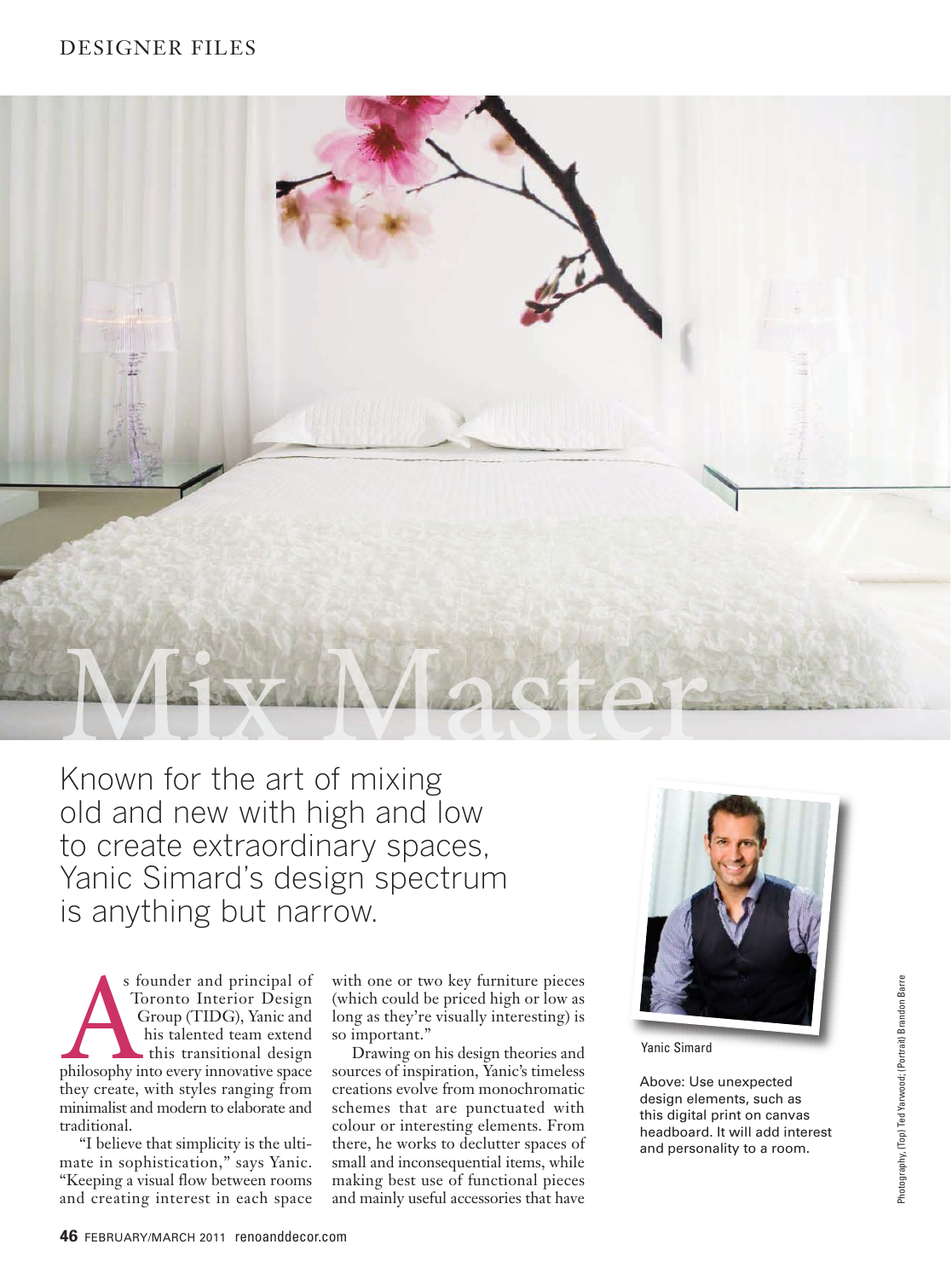## DESIGNER FILES



Known for the art of mixing old and new with high and low to create extraordinary spaces, Yanic Simard's design spectrum is anything but narrow.

s founder and principal of Toronto Interior Design Group (TIDG), Yanic and his talented team extend this transitional design s founder and principal of<br>Toronto Interior Design<br>Group (TIDG), Yanic and<br>his talented team extend<br>this transitional design<br>philosophy into every innovative space they create, with styles ranging from minimalist and modern to elaborate and traditional.

"I believe that simplicity is the ultimate in sophistication," says Yanic. "Keeping a visual flow between rooms and creating interest in each space

with one or two key furniture pieces (which could be priced high or low as long as they're visually interesting) is so important."

Drawing on his design theories and sources of inspiration, Yanic's timeless creations evolve from monochromatic schemes that are punctuated with colour or interesting elements. From there, he works to declutter spaces of small and inconsequential items, while making best use of functional pieces and mainly useful accessories that have



Yanic Simard

Above: Use unexpected design elements, such as this digital print on canvas headboard. It will add interest and personality to a room.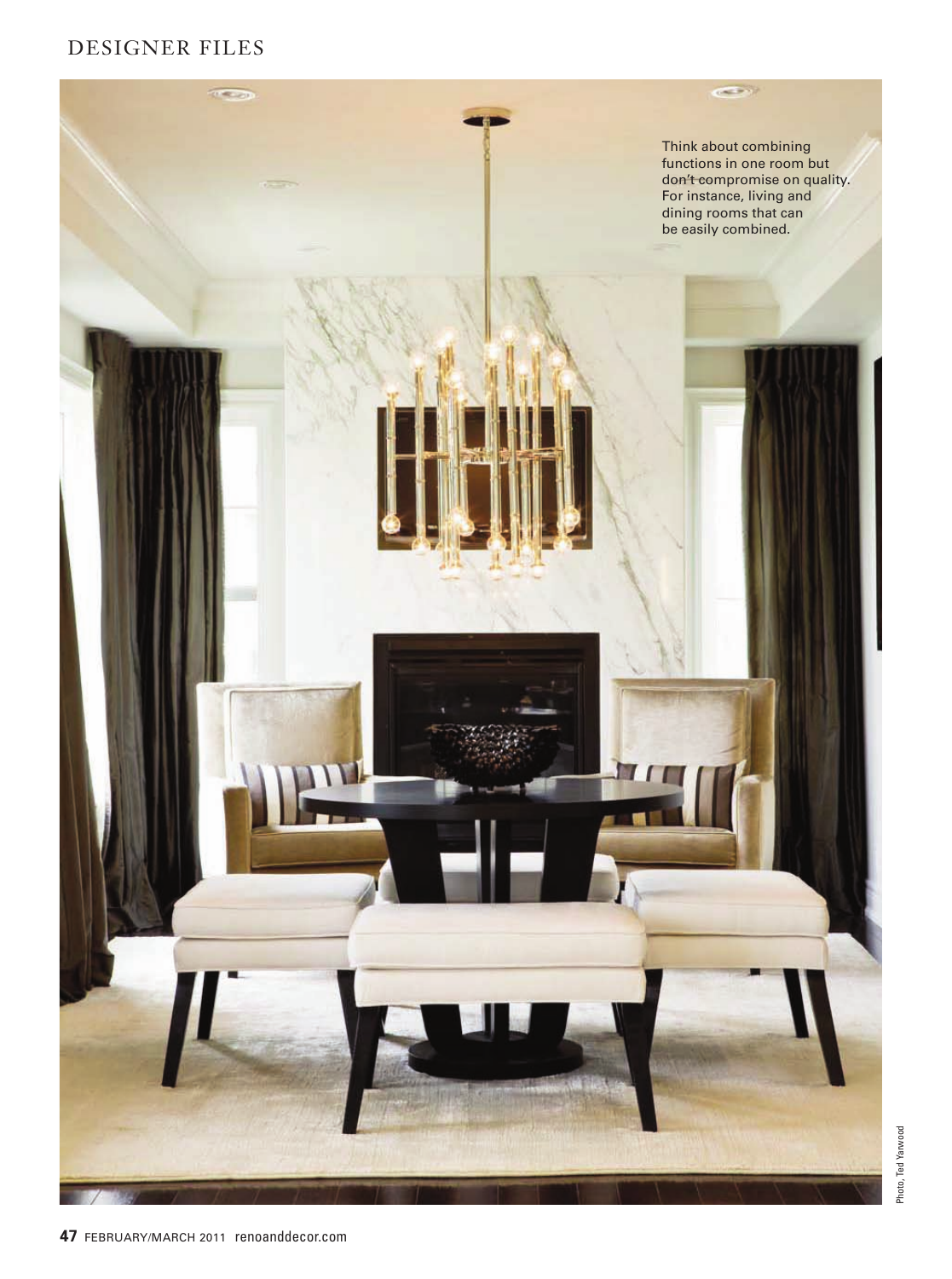# DESIGNER FILES